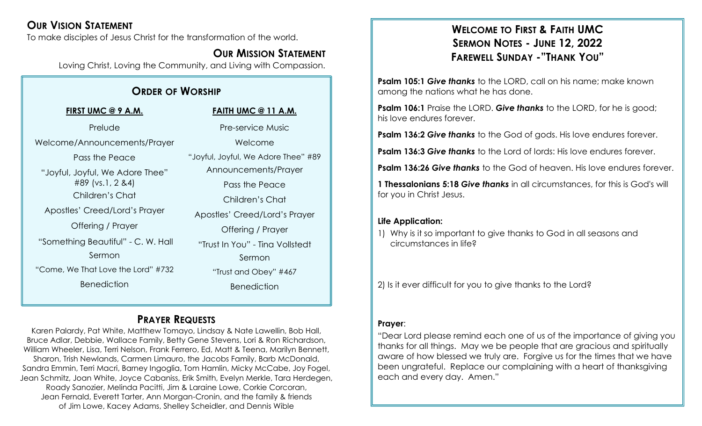# **OUR VISION STATEMENT**

To make disciples of Jesus Christ for the transformation of the world.

# **OUR MISSION STATEMENT**

Loving Christ, Loving the Community, and Living with Compassion.

# **ORDER OF WORSHIP**

| FIRST UMC @ 9 A.M.                 | <b>FAITH UMC @ 11 A.M.</b>          |
|------------------------------------|-------------------------------------|
| Prelude                            | <b>Pre-service Music</b>            |
| Welcome/Announcements/Prayer       | Welcome                             |
| Pass the Peace                     | "Joyful, Joyful, We Adore Thee" #89 |
| "Joyful, Joyful, We Adore Thee"    | Announcements/Prayer                |
| #89 (vs.1, 2 & 4)                  | Pass the Peace                      |
| Children's Chat                    | Children's Chat                     |
| Apostles' Creed/Lord's Prayer      | Apostles' Creed/Lord's Prayer       |
| Offering / Prayer                  | Offering / Prayer                   |
| "Something Beautiful" - C. W. Hall | "Trust In You" - Tina Vollstedt     |
| Sermon                             | Sermon                              |
| "Come, We That Love the Lord" #732 | "Trust and Obey" #467               |
| <b>Benediction</b>                 | <b>Benediction</b>                  |
|                                    |                                     |

# **PRAYER REQUESTS**

Karen Palardy, Pat White, Matthew Tomayo, Lindsay & Nate Lawellin, Bob Hall, Bruce Adlar, Debbie, Wallace Family, Betty Gene Stevens, Lori & Ron Richardson, William Wheeler, Lisa, Terri Nelson, Frank Ferrero, Ed, Matt & Teena, Marilyn Bennett, Sharon, Trish Newlands, Carmen Limauro, the Jacobs Family, Barb McDonald, Sandra Emmin, Terri Macri, Barney Ingoglia, Tom Hamlin, Micky McCabe, Joy Fogel, Jean Schmitz, Joan White, Joyce Cabaniss, Erik Smith, Evelyn Merkle, Tara Herdegen, Roady Sanozier, Melinda Pacitti, Jim & Laraine Lowe, Corkie Corcoran, Jean Fernald, Everett Tarter, Ann Morgan-Cronin, and the family & friends of Jim Lowe, Kacey Adams, Shelley Scheidler, and Dennis Wible

# **WELCOME TO FIRST & FAITH UMC SERMON NOTES - JUNE 12, 2022 FAREWELL SUNDAY -"THANK YOU"**

**Psalm 105:1 Give** *thanks* to the LORD, call on his name; make known among the nations what he has done.

**Psalm 106:1** Praise the LORD. Give *thanks* to the LORD, for he is good; his love endures forever.

**Psalm 136:2** *Give thanks* to the God of gods. His love endures forever.

**Psalm 136:3** *Give thanks* to the Lord of lords: His love endures forever.

**Psalm 136:26** *Give thanks* to the God of heaven. His love endures forever.

**1 Thessalonians 5:18** *Give thanks* in all circumstances, for this is God's will for you in Christ Jesus.

#### **Life Application:**

1) Why is it so important to give thanks to God in all seasons and circumstances in life?

2) Is it ever difficult for you to give thanks to the Lord?

#### **Prayer**:

"Dear Lord please remind each one of us of the importance of giving you thanks for all things. May we be people that are gracious and spiritually aware of how blessed we truly are. Forgive us for the times that we have been ungrateful. Replace our complaining with a heart of thanksgiving each and every day. Amen."